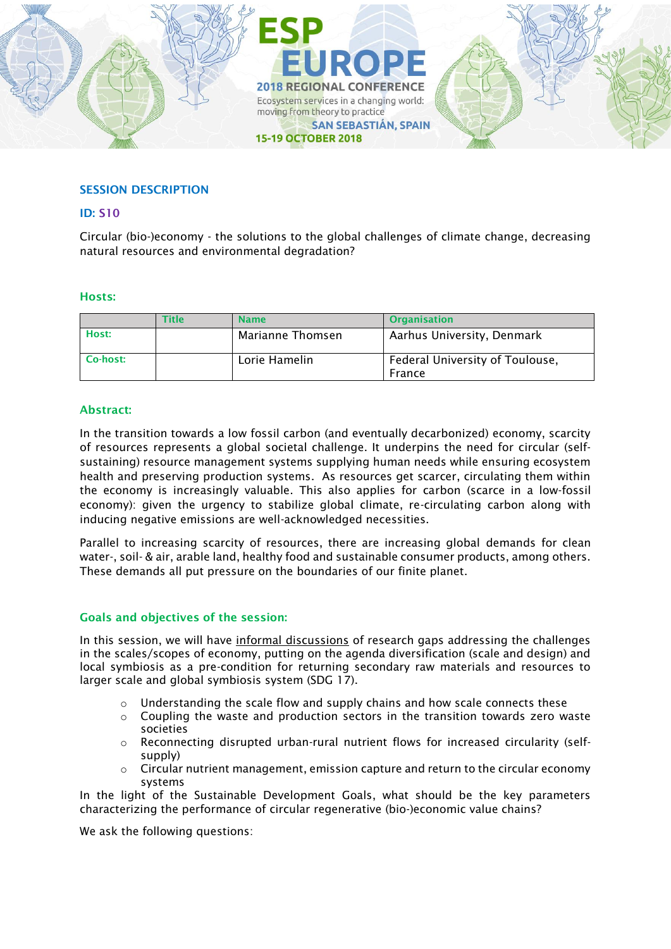

## SESSION DESCRIPTION

#### ID: S10

Circular (bio-)economy - the solutions to the global challenges of climate change, decreasing natural resources and environmental degradation?

### Hosts:

|          | <b>Title</b> | <b>Name</b>      | <b>Organisation</b>                       |
|----------|--------------|------------------|-------------------------------------------|
| Host:    |              | Marianne Thomsen | Aarhus University, Denmark                |
| Co-host: |              | Lorie Hamelin    | Federal University of Toulouse,<br>France |

### Abstract:

In the transition towards a low fossil carbon (and eventually decarbonized) economy, scarcity of resources represents a global societal challenge. It underpins the need for circular (selfsustaining) resource management systems supplying human needs while ensuring ecosystem health and preserving production systems. As resources get scarcer, circulating them within the economy is increasingly valuable. This also applies for carbon (scarce in a low-fossil economy): given the urgency to stabilize global climate, re-circulating carbon along with inducing negative emissions are well-acknowledged necessities.

Parallel to increasing scarcity of resources, there are increasing global demands for clean water-, soil- & air, arable land, healthy food and sustainable consumer products, among others. These demands all put pressure on the boundaries of our finite planet.

## Goals and objectives of the session:

In this session, we will have informal discussions of research gaps addressing the challenges in the scales/scopes of economy, putting on the agenda diversification (scale and design) and local symbiosis as a pre-condition for returning secondary raw materials and resources to larger scale and global symbiosis system (SDG 17).

- $\circ$  Understanding the scale flow and supply chains and how scale connects these
- $\circ$  Coupling the waste and production sectors in the transition towards zero waste societies
- $\circ$  Reconnecting disrupted urban-rural nutrient flows for increased circularity (selfsupply)
- $\circ$  Circular nutrient management, emission capture and return to the circular economy systems

In the light of the Sustainable Development Goals, what should be the key parameters characterizing the performance of circular regenerative (bio-)economic value chains?

We ask the following questions: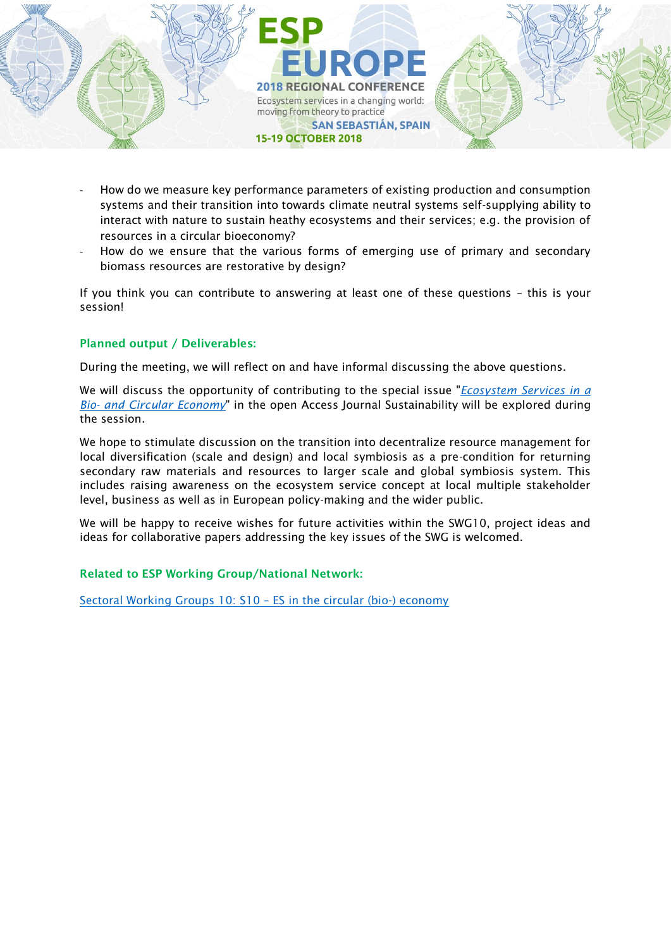

- How do we measure key performance parameters of existing production and consumption systems and their transition into towards climate neutral systems self-supplying ability to interact with nature to sustain heathy ecosystems and their services; e.g. the provision of resources in a circular bioeconomy?
- How do we ensure that the various forms of emerging use of primary and secondary biomass resources are restorative by design?

If you think you can contribute to answering at least one of these questions – this is your session!

# Planned output / Deliverables:

During the meeting, we will reflect on and have informal discussing the above questions.

We will discuss the opportunity of contributing to the special issue "*[Ecosystem Services in a](https://www.mdpi.com/journal/sustainability/special_issues/Ecosystem_Services_Circular_Economy)  Bio- [and Circular Economy](https://www.mdpi.com/journal/sustainability/special_issues/Ecosystem_Services_Circular_Economy)*" in the open Access Journal Sustainability will be explored during the session.

We hope to stimulate discussion on the transition into decentralize resource management for local diversification (scale and design) and local symbiosis as a pre-condition for returning secondary raw materials and resources to larger scale and global symbiosis system. This includes raising awareness on the ecosystem service concept at local multiple stakeholder level, business as well as in European policy-making and the wider public.

We will be happy to receive wishes for future activities within the SWG10, project ideas and ideas for collaborative papers addressing the key issues of the SWG is welcomed.

## Related to ESP Working Group/National Network:

[Sectoral Working Groups 10: S10](https://www.es-partnership.org/swg-10-es-in-the-circular-bio-economy/) – ES in the circular (bio-) economy